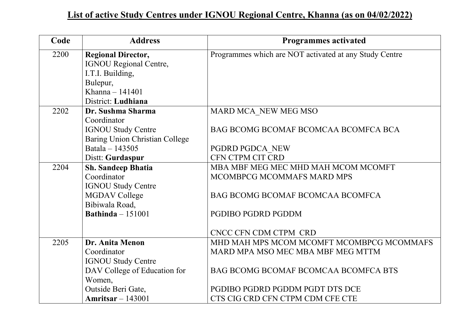| Code | <b>Address</b>                        | <b>Programmes activated</b>                            |
|------|---------------------------------------|--------------------------------------------------------|
| 2200 | <b>Regional Director,</b>             | Programmes which are NOT activated at any Study Centre |
|      | <b>IGNOU Regional Centre,</b>         |                                                        |
|      | I.T.I. Building,                      |                                                        |
|      | Bulepur,                              |                                                        |
|      | Khanna $-141401$                      |                                                        |
|      | District: Ludhiana                    |                                                        |
| 2202 | Dr. Sushma Sharma                     | MARD MCA NEW MEG MSO                                   |
|      | Coordinator                           |                                                        |
|      | <b>IGNOU Study Centre</b>             | BAG BCOMG BCOMAF BCOMCAA BCOMFCA BCA                   |
|      | <b>Baring Union Christian College</b> |                                                        |
|      | Batala - 143505                       | PGDRD PGDCA NEW                                        |
|      | Distt: Gurdaspur                      | CFN CTPM CIT CRD                                       |
| 2204 | <b>Sh. Sandeep Bhatia</b>             | MBA MBF MEG MEC MHD MAH MCOM MCOMFT                    |
|      | Coordinator                           | MCOMBPCG MCOMMAFS MARD MPS                             |
|      | <b>IGNOU Study Centre</b>             |                                                        |
|      | <b>MGDAV College</b>                  | BAG BCOMG BCOMAF BCOMCAA BCOMFCA                       |
|      | Bibiwala Road,                        |                                                        |
|      | Bathinda $-151001$                    | PGDIBO PGDRD PGDDM                                     |
|      |                                       |                                                        |
|      |                                       | CNCC CFN CDM CTPM CRD                                  |
| 2205 | Dr. Anita Menon                       | MHD MAH MPS MCOM MCOMFT MCOMBPCG MCOMMAFS              |
|      | Coordinator                           | MARD MPA MSO MEC MBA MBF MEG MTTM                      |
|      | <b>IGNOU Study Centre</b>             |                                                        |
|      | DAV College of Education for          | <b>BAG BCOMG BCOMAF BCOMCAA BCOMFCA BTS</b>            |
|      | Women,                                |                                                        |
|      | Outside Beri Gate,                    | PGDIBO PGDRD PGDDM PGDT DTS DCE                        |
|      | Amritsar $-143001$                    | CTS CIG CRD CFN CTPM CDM CFE CTE                       |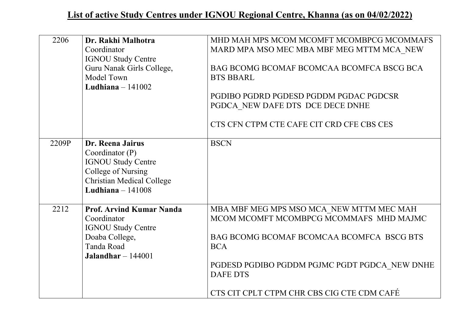| 2206  | Dr. Rakhi Malhotra<br>Coordinator<br><b>IGNOU Study Centre</b><br>Guru Nanak Girls College,<br>Model Town<br>Ludhiana $-141002$                    | MHD MAH MPS MCOM MCOMFT MCOMBPCG MCOMMAFS<br>MARD MPA MSO MEC MBA MBF MEG MTTM MCA NEW<br>BAG BCOMG BCOMAF BCOMCAA BCOMFCA BSCG BCA<br><b>BTS BBARL</b><br>PGDIBO PGDRD PGDESD PGDDM PGDAC PGDCSR<br>PGDCA NEW DAFE DTS DCE DECE DNHE<br>CTS CFN CTPM CTE CAFE CIT CRD CFE CBS CES |
|-------|----------------------------------------------------------------------------------------------------------------------------------------------------|------------------------------------------------------------------------------------------------------------------------------------------------------------------------------------------------------------------------------------------------------------------------------------|
| 2209P | Dr. Reena Jairus<br>Coordinator $(P)$<br><b>IGNOU Study Centre</b><br>College of Nursing<br><b>Christian Medical College</b><br>Ludhiana $-141008$ | <b>BSCN</b>                                                                                                                                                                                                                                                                        |
| 2212  | <b>Prof. Arvind Kumar Nanda</b><br>Coordinator<br><b>IGNOU Study Centre</b><br>Doaba College,<br>Tanda Road<br>Jalandhar $-144001$                 | MBA MBF MEG MPS MSO MCA NEW MTTM MEC MAH<br>MCOM MCOMFT MCOMBPCG MCOMMAFS MHD MAJMC<br>BAG BCOMG BCOMAF BCOMCAA BCOMFCA BSCG BTS<br><b>BCA</b><br>PGDESD PGDIBO PGDDM PGJMC PGDT PGDCA NEW DNHE<br><b>DAFE DTS</b><br>CTS CIT CPLT CTPM CHR CBS CIG CTE CDM CAFÉ                   |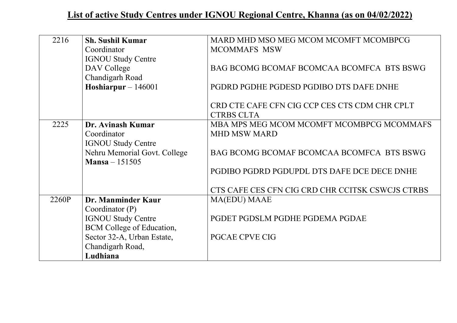| 2216  | <b>Sh. Sushil Kumar</b>      | MARD MHD MSO MEG MCOM MCOMFT MCOMBPCG            |
|-------|------------------------------|--------------------------------------------------|
|       | Coordinator                  | <b>MCOMMAFS MSW</b>                              |
|       | <b>IGNOU Study Centre</b>    |                                                  |
|       | DAV College                  | BAG BCOMG BCOMAF BCOMCAA BCOMFCA BTS BSWG        |
|       | Chandigarh Road              |                                                  |
|       | Hoshiarpur - $146001$        | PGDRD PGDHE PGDESD PGDIBO DTS DAFE DNHE          |
|       |                              |                                                  |
|       |                              | CRD CTE CAFE CFN CIG CCP CES CTS CDM CHR CPLT    |
|       |                              | <b>CTRBS CLTA</b>                                |
| 2225  | Dr. Avinash Kumar            | MBA MPS MEG MCOM MCOMFT MCOMBPCG MCOMMAFS        |
|       | Coordinator                  | <b>MHD MSW MARD</b>                              |
|       | <b>IGNOU Study Centre</b>    |                                                  |
|       | Nehru Memorial Govt. College | BAG BCOMG BCOMAF BCOMCAA BCOMFCA BTS BSWG        |
|       | $Mansa - 151505$             |                                                  |
|       |                              | PGDIBO PGDRD PGDUPDL DTS DAFE DCE DECE DNHE      |
|       |                              |                                                  |
|       |                              | CTS CAFE CES CFN CIG CRD CHR CCITSK CSWCJS CTRBS |
| 2260P | Dr. Manminder Kaur           | MA(EDU) MAAE                                     |
|       | Coordinator $(P)$            |                                                  |
|       | <b>IGNOU Study Centre</b>    | PGDET PGDSLM PGDHE PGDEMA PGDAE                  |
|       | BCM College of Education,    |                                                  |
|       | Sector 32-A, Urban Estate,   | <b>PGCAE CPVE CIG</b>                            |
|       | Chandigarh Road,             |                                                  |
|       | Ludhiana                     |                                                  |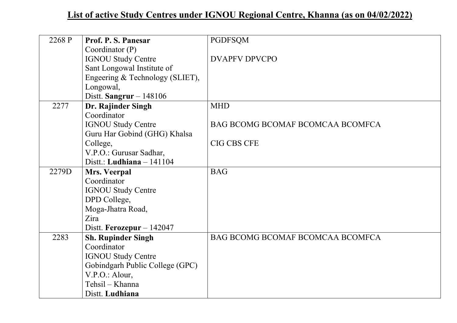| 2268 P | Prof. P. S. Panesar             | <b>PGDFSQM</b>                   |
|--------|---------------------------------|----------------------------------|
|        | Coordinator $(P)$               |                                  |
|        | <b>IGNOU Study Centre</b>       | <b>DVAPFV DPVCPO</b>             |
|        | Sant Longowal Institute of      |                                  |
|        | Engeering & Technology (SLIET), |                                  |
|        | Longowal,                       |                                  |
|        | Distt. Sangrur $-148106$        |                                  |
| 2277   | Dr. Rajinder Singh              | <b>MHD</b>                       |
|        | Coordinator                     |                                  |
|        | <b>IGNOU Study Centre</b>       | BAG BCOMG BCOMAF BCOMCAA BCOMFCA |
|        | Guru Har Gobind (GHG) Khalsa    |                                  |
|        | College,                        | <b>CIG CBS CFE</b>               |
|        | V.P.O.: Gurusar Sadhar,         |                                  |
|        | Distt.: Ludhiana $-141104$      |                                  |
| 2279D  | Mrs. Veerpal                    | <b>BAG</b>                       |
|        | Coordinator                     |                                  |
|        | <b>IGNOU Study Centre</b>       |                                  |
|        | DPD College,                    |                                  |
|        | Moga-Jhatra Road,               |                                  |
|        | Zira                            |                                  |
|        | Distt. Ferozepur $-142047$      |                                  |
| 2283   | <b>Sh. Rupinder Singh</b>       | BAG BCOMG BCOMAF BCOMCAA BCOMFCA |
|        | Coordinator                     |                                  |
|        | <b>IGNOU Study Centre</b>       |                                  |
|        | Gobindgarh Public College (GPC) |                                  |
|        | V.P.O.: Alour,                  |                                  |
|        | Tehsil – Khanna                 |                                  |
|        | Distt. Ludhiana                 |                                  |